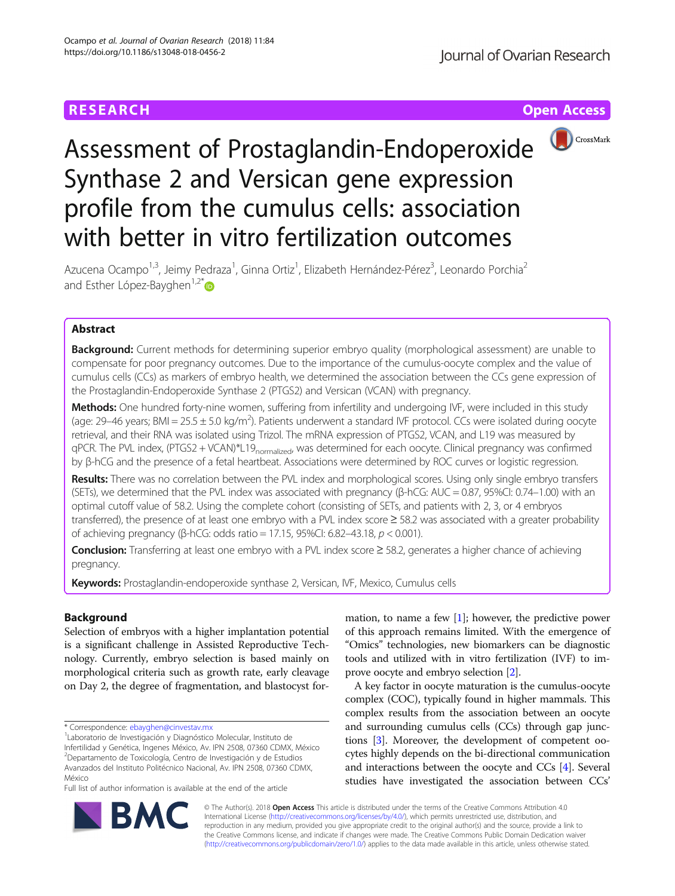

# Assessment of Prostaglandin-Endoperoxide Synthase 2 and Versican gene expression profile from the cumulus cells: association with better in vitro fertilization outcomes

Azucena Ocampo<sup>1,3</sup>, Jeimy Pedraza<sup>1</sup>, Ginna Ortiz<sup>1</sup>, Elizabeth Hernández-Pérez<sup>3</sup>, Leonardo Porchia<sup>2</sup> and Esther López-Bayghen<sup>1,2[\\*](http://orcid.org/0000-0002-2849-7587)</sup> $\bullet$ 

# Abstract

Background: Current methods for determining superior embryo quality (morphological assessment) are unable to compensate for poor pregnancy outcomes. Due to the importance of the cumulus-oocyte complex and the value of cumulus cells (CCs) as markers of embryo health, we determined the association between the CCs gene expression of the Prostaglandin-Endoperoxide Synthase 2 (PTGS2) and Versican (VCAN) with pregnancy.

Methods: One hundred forty-nine women, suffering from infertility and undergoing IVF, were included in this study (age: 29–46 years; BMI = 25.5  $\pm$  5.0 kg/m<sup>2</sup>). Patients underwent a standard IVF protocol. CCs were isolated during oocyte retrieval, and their RNA was isolated using Trizol. The mRNA expression of PTGS2, VCAN, and L19 was measured by qPCR. The PVL index, (PTGS2 + VCAN)\*L19<sub>normalized</sub>, was determined for each oocyte. Clinical pregnancy was confirmed by β-hCG and the presence of a fetal heartbeat. Associations were determined by ROC curves or logistic regression.

Results: There was no correlation between the PVL index and morphological scores. Using only single embryo transfers (SETs), we determined that the PVL index was associated with pregnancy (β-hCG: AUC = 0.87, 95%CI: 0.74–1.00) with an optimal cutoff value of 58.2. Using the complete cohort (consisting of SETs, and patients with 2, 3, or 4 embryos transferred), the presence of at least one embryo with a PVL index score ≥ 58.2 was associated with a greater probability of achieving pregnancy (β-hCG: odds ratio = 17.15, 95%CI: 6.82–43.18, p < 0.001).

Conclusion: Transferring at least one embryo with a PVL index score ≥ 58.2, generates a higher chance of achieving pregnancy.

Keywords: Prostaglandin-endoperoxide synthase 2, Versican, IVF, Mexico, Cumulus cells

# Background

Selection of embryos with a higher implantation potential is a significant challenge in Assisted Reproductive Technology. Currently, embryo selection is based mainly on morphological criteria such as growth rate, early cleavage on Day 2, the degree of fragmentation, and blastocyst for-

Infertilidad y Genética, Ingenes México, Av. IPN 2508, 07360 CDMX, México 2 Departamento de Toxicología, Centro de Investigación y de Estudios Avanzados del Instituto Politécnico Nacional, Av. IPN 2508, 07360 CDMX, México

Full list of author information is available at the end of the article

mation, to name a few [\[1](#page-8-0)]; however, the predictive power of this approach remains limited. With the emergence of "Omics" technologies, new biomarkers can be diagnostic tools and utilized with in vitro fertilization (IVF) to improve oocyte and embryo selection [[2\]](#page-8-0).

A key factor in oocyte maturation is the cumulus-oocyte complex (COC), typically found in higher mammals. This complex results from the association between an oocyte and surrounding cumulus cells (CCs) through gap junctions [\[3\]](#page-8-0). Moreover, the development of competent oocytes highly depends on the bi-directional communication and interactions between the oocyte and CCs [[4\]](#page-8-0). Several studies have investigated the association between CCs'



© The Author(s). 2018 Open Access This article is distributed under the terms of the Creative Commons Attribution 4.0 International License [\(http://creativecommons.org/licenses/by/4.0/](http://creativecommons.org/licenses/by/4.0/)), which permits unrestricted use, distribution, and reproduction in any medium, provided you give appropriate credit to the original author(s) and the source, provide a link to the Creative Commons license, and indicate if changes were made. The Creative Commons Public Domain Dedication waiver [\(http://creativecommons.org/publicdomain/zero/1.0/](http://creativecommons.org/publicdomain/zero/1.0/)) applies to the data made available in this article, unless otherwise stated.

<sup>\*</sup> Correspondence: [ebayghen@cinvestav.mx](mailto:ebayghen@cinvestav.mx) <sup>1</sup>

Laboratorio de Investigación y Diagnóstico Molecular, Instituto de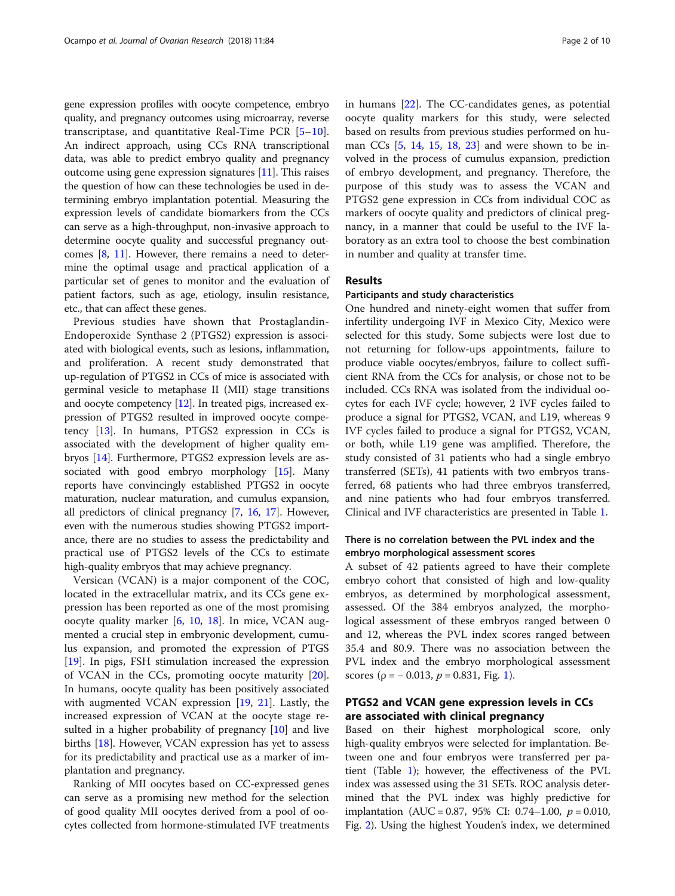gene expression profiles with oocyte competence, embryo quality, and pregnancy outcomes using microarray, reverse transcriptase, and quantitative Real-Time PCR  $[5-10]$  $[5-10]$  $[5-10]$  $[5-10]$ . An indirect approach, using CCs RNA transcriptional data, was able to predict embryo quality and pregnancy outcome using gene expression signatures [[11](#page-8-0)]. This raises the question of how can these technologies be used in determining embryo implantation potential. Measuring the expression levels of candidate biomarkers from the CCs can serve as a high-throughput, non-invasive approach to determine oocyte quality and successful pregnancy outcomes [[8](#page-8-0), [11](#page-8-0)]. However, there remains a need to determine the optimal usage and practical application of a particular set of genes to monitor and the evaluation of patient factors, such as age, etiology, insulin resistance, etc., that can affect these genes.

Previous studies have shown that Prostaglandin-Endoperoxide Synthase 2 (PTGS2) expression is associated with biological events, such as lesions, inflammation, and proliferation. A recent study demonstrated that up-regulation of PTGS2 in CCs of mice is associated with germinal vesicle to metaphase II (MII) stage transitions and oocyte competency [\[12\]](#page-8-0). In treated pigs, increased expression of PTGS2 resulted in improved oocyte competency [\[13](#page-8-0)]. In humans, PTGS2 expression in CCs is associated with the development of higher quality embryos [[14\]](#page-8-0). Furthermore, PTGS2 expression levels are associated with good embryo morphology [\[15\]](#page-8-0). Many reports have convincingly established PTGS2 in oocyte maturation, nuclear maturation, and cumulus expansion, all predictors of clinical pregnancy [\[7](#page-8-0), [16,](#page-8-0) [17\]](#page-8-0). However, even with the numerous studies showing PTGS2 importance, there are no studies to assess the predictability and practical use of PTGS2 levels of the CCs to estimate high-quality embryos that may achieve pregnancy.

Versican (VCAN) is a major component of the COC, located in the extracellular matrix, and its CCs gene expression has been reported as one of the most promising oocyte quality marker [[6,](#page-8-0) [10,](#page-8-0) [18\]](#page-8-0). In mice, VCAN augmented a crucial step in embryonic development, cumulus expansion, and promoted the expression of PTGS [[19\]](#page-8-0). In pigs, FSH stimulation increased the expression of VCAN in the CCs, promoting oocyte maturity [\[20](#page-9-0)]. In humans, oocyte quality has been positively associated with augmented VCAN expression [\[19](#page-8-0), [21](#page-9-0)]. Lastly, the increased expression of VCAN at the oocyte stage re-sulted in a higher probability of pregnancy [\[10](#page-8-0)] and live births [[18](#page-8-0)]. However, VCAN expression has yet to assess for its predictability and practical use as a marker of implantation and pregnancy.

Ranking of MII oocytes based on CC-expressed genes can serve as a promising new method for the selection of good quality MII oocytes derived from a pool of oocytes collected from hormone-stimulated IVF treatments in humans [[22\]](#page-9-0). The CC-candidates genes, as potential oocyte quality markers for this study, were selected based on results from previous studies performed on human CCs [\[5](#page-8-0), [14](#page-8-0), [15](#page-8-0), [18](#page-8-0), [23](#page-9-0)] and were shown to be involved in the process of cumulus expansion, prediction of embryo development, and pregnancy. Therefore, the purpose of this study was to assess the VCAN and PTGS2 gene expression in CCs from individual COC as markers of oocyte quality and predictors of clinical pregnancy, in a manner that could be useful to the IVF laboratory as an extra tool to choose the best combination in number and quality at transfer time.

# Results

### Participants and study characteristics

One hundred and ninety-eight women that suffer from infertility undergoing IVF in Mexico City, Mexico were selected for this study. Some subjects were lost due to not returning for follow-ups appointments, failure to produce viable oocytes/embryos, failure to collect sufficient RNA from the CCs for analysis, or chose not to be included. CCs RNA was isolated from the individual oocytes for each IVF cycle; however, 2 IVF cycles failed to produce a signal for PTGS2, VCAN, and L19, whereas 9 IVF cycles failed to produce a signal for PTGS2, VCAN, or both, while L19 gene was amplified. Therefore, the study consisted of 31 patients who had a single embryo transferred (SETs), 41 patients with two embryos transferred, 68 patients who had three embryos transferred, and nine patients who had four embryos transferred. Clinical and IVF characteristics are presented in Table [1](#page-2-0).

# There is no correlation between the PVL index and the embryo morphological assessment scores

A subset of 42 patients agreed to have their complete embryo cohort that consisted of high and low-quality embryos, as determined by morphological assessment, assessed. Of the 384 embryos analyzed, the morphological assessment of these embryos ranged between 0 and 12, whereas the PVL index scores ranged between 35.4 and 80.9. There was no association between the PVL index and the embryo morphological assessment scores ( $p = -0.013$  $p = -0.013$  $p = -0.013$ ,  $p = 0.831$ , Fig. 1).

# PTGS2 and VCAN gene expression levels in CCs are associated with clinical pregnancy

Based on their highest morphological score, only high-quality embryos were selected for implantation. Between one and four embryos were transferred per patient (Table [1](#page-2-0)); however, the effectiveness of the PVL index was assessed using the 31 SETs. ROC analysis determined that the PVL index was highly predictive for implantation (AUC = 0.87, 95% CI: 0.74–1.00,  $p = 0.010$ , Fig. [2](#page-3-0)). Using the highest Youden's index, we determined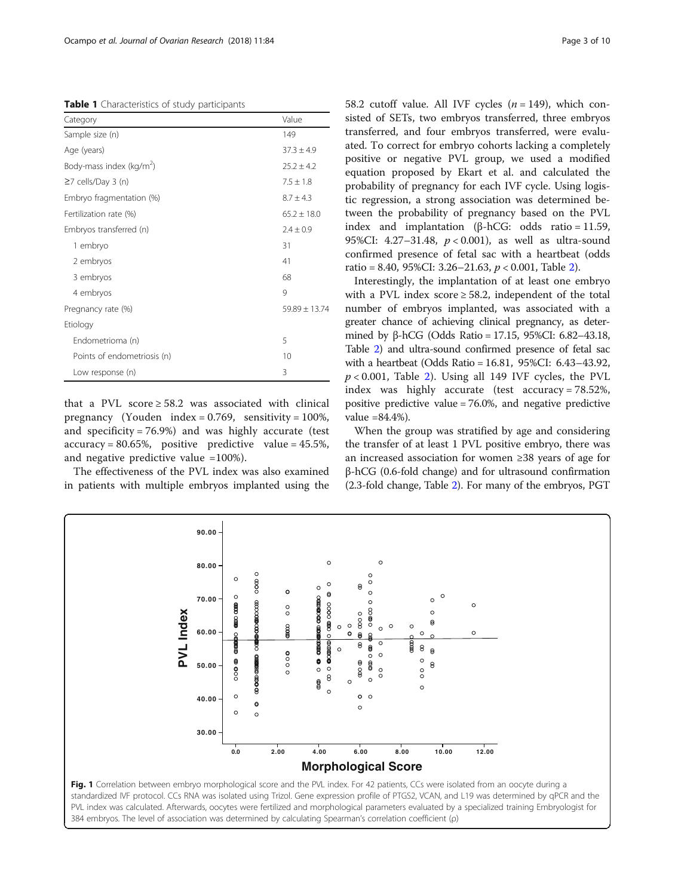<span id="page-2-0"></span>Table 1 Characteristics of study participants

| Category                             | Value             |
|--------------------------------------|-------------------|
| Sample size (n)                      | 149               |
| Age (years)                          | $37.3 \pm 4.9$    |
| Body-mass index (kg/m <sup>2</sup> ) | $25.2 \pm 4.2$    |
| $\geq$ 7 cells/Day 3 (n)             | $7.5 \pm 1.8$     |
| Embryo fragmentation (%)             | $8.7 \pm 4.3$     |
| Fertilization rate (%)               | $65.2 \pm 18.0$   |
| Embryos transferred (n)              | $2.4 \pm 0.9$     |
| 1 embryo                             | 31                |
| 2 embryos                            | 41                |
| 3 embryos                            | 68                |
| 4 embryos                            | 9                 |
| Pregnancy rate (%)                   | $59.89 \pm 13.74$ |
| Etiology                             |                   |
| Endometrioma (n)                     | 5                 |
| Points of endometriosis (n)          | 10                |
| Low response (n)                     | 3                 |

that a PVL score  $\geq 58.2$  was associated with clinical pregnancy (Youden index =  $0.769$ , sensitivity =  $100\%$ , and specificity = 76.9%) and was highly accurate (test  $accuracy = 80.65\%,$  positive predictive value = 45.5%, and negative predictive value =100%).

The effectiveness of the PVL index was also examined in patients with multiple embryos implanted using the 58.2 cutoff value. All IVF cycles  $(n = 149)$ , which consisted of SETs, two embryos transferred, three embryos transferred, and four embryos transferred, were evaluated. To correct for embryo cohorts lacking a completely positive or negative PVL group, we used a modified equation proposed by Ekart et al. and calculated the probability of pregnancy for each IVF cycle. Using logistic regression, a strong association was determined between the probability of pregnancy based on the PVL index and implantation (β-hCG: odds ratio = 11.59, 95%CI: 4.27–31.48, p < 0.001), as well as ultra-sound confirmed presence of fetal sac with a heartbeat (odds ratio = 8.40, 95%CI: 3.[2](#page-4-0)6–21.63,  $p < 0.001$ , Table 2).

Interestingly, the implantation of at least one embryo with a PVL index score  $\geq$  58.2, independent of the total number of embryos implanted, was associated with a greater chance of achieving clinical pregnancy, as determined by β-hCG (Odds Ratio = 17.15, 95%CI: 6.82–43.18, Table [2\)](#page-4-0) and ultra-sound confirmed presence of fetal sac with a heartbeat (Odds Ratio = 16.81, 95%CI: 6.43–43.92,  $p < 0.001$ , Table [2\)](#page-4-0). Using all 149 IVF cycles, the PVL index was highly accurate (test accuracy = 78.52%, positive predictive value = 76.0%, and negative predictive value =84.4%).

When the group was stratified by age and considering the transfer of at least 1 PVL positive embryo, there was an increased association for women ≥38 years of age for β-hCG (0.6-fold change) and for ultrasound confirmation (2.3-fold change, Table [2\)](#page-4-0). For many of the embryos, PGT

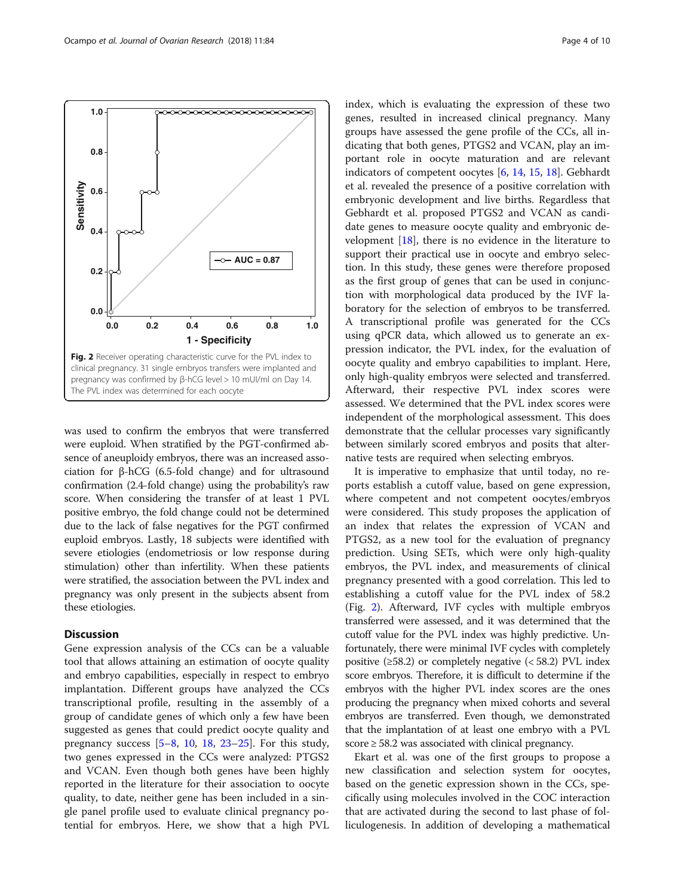<span id="page-3-0"></span>

was used to confirm the embryos that were transferred were euploid. When stratified by the PGT-confirmed absence of aneuploidy embryos, there was an increased association for β-hCG (6.5-fold change) and for ultrasound confirmation (2.4-fold change) using the probability's raw score. When considering the transfer of at least 1 PVL positive embryo, the fold change could not be determined due to the lack of false negatives for the PGT confirmed euploid embryos. Lastly, 18 subjects were identified with severe etiologies (endometriosis or low response during stimulation) other than infertility. When these patients were stratified, the association between the PVL index and pregnancy was only present in the subjects absent from these etiologies.

# **Discussion**

Gene expression analysis of the CCs can be a valuable tool that allows attaining an estimation of oocyte quality and embryo capabilities, especially in respect to embryo implantation. Different groups have analyzed the CCs transcriptional profile, resulting in the assembly of a group of candidate genes of which only a few have been suggested as genes that could predict oocyte quality and pregnancy success  $[5-8, 10, 18, 23-25]$  $[5-8, 10, 18, 23-25]$  $[5-8, 10, 18, 23-25]$  $[5-8, 10, 18, 23-25]$  $[5-8, 10, 18, 23-25]$  $[5-8, 10, 18, 23-25]$  $[5-8, 10, 18, 23-25]$  $[5-8, 10, 18, 23-25]$  $[5-8, 10, 18, 23-25]$  $[5-8, 10, 18, 23-25]$  $[5-8, 10, 18, 23-25]$ . For this study, two genes expressed in the CCs were analyzed: PTGS2 and VCAN. Even though both genes have been highly reported in the literature for their association to oocyte quality, to date, neither gene has been included in a single panel profile used to evaluate clinical pregnancy potential for embryos. Here, we show that a high PVL index, which is evaluating the expression of these two genes, resulted in increased clinical pregnancy. Many groups have assessed the gene profile of the CCs, all indicating that both genes, PTGS2 and VCAN, play an important role in oocyte maturation and are relevant indicators of competent oocytes [[6,](#page-8-0) [14,](#page-8-0) [15,](#page-8-0) [18\]](#page-8-0). Gebhardt et al. revealed the presence of a positive correlation with embryonic development and live births. Regardless that Gebhardt et al. proposed PTGS2 and VCAN as candidate genes to measure oocyte quality and embryonic development  $[18]$  $[18]$  $[18]$ , there is no evidence in the literature to support their practical use in oocyte and embryo selection. In this study, these genes were therefore proposed as the first group of genes that can be used in conjunction with morphological data produced by the IVF laboratory for the selection of embryos to be transferred. A transcriptional profile was generated for the CCs using qPCR data, which allowed us to generate an expression indicator, the PVL index, for the evaluation of oocyte quality and embryo capabilities to implant. Here, only high-quality embryos were selected and transferred. Afterward, their respective PVL index scores were assessed. We determined that the PVL index scores were independent of the morphological assessment. This does demonstrate that the cellular processes vary significantly between similarly scored embryos and posits that alternative tests are required when selecting embryos.

It is imperative to emphasize that until today, no reports establish a cutoff value, based on gene expression, where competent and not competent oocytes/embryos were considered. This study proposes the application of an index that relates the expression of VCAN and PTGS2, as a new tool for the evaluation of pregnancy prediction. Using SETs, which were only high-quality embryos, the PVL index, and measurements of clinical pregnancy presented with a good correlation. This led to establishing a cutoff value for the PVL index of 58.2 (Fig. 2). Afterward, IVF cycles with multiple embryos transferred were assessed, and it was determined that the cutoff value for the PVL index was highly predictive. Unfortunately, there were minimal IVF cycles with completely positive  $(\geq 58.2)$  or completely negative  $( $58.2$ )$  PVL index score embryos. Therefore, it is difficult to determine if the embryos with the higher PVL index scores are the ones producing the pregnancy when mixed cohorts and several embryos are transferred. Even though, we demonstrated that the implantation of at least one embryo with a PVL score  $\geq$  58.2 was associated with clinical pregnancy.

Ekart et al. was one of the first groups to propose a new classification and selection system for oocytes, based on the genetic expression shown in the CCs, specifically using molecules involved in the COC interaction that are activated during the second to last phase of folliculogenesis. In addition of developing a mathematical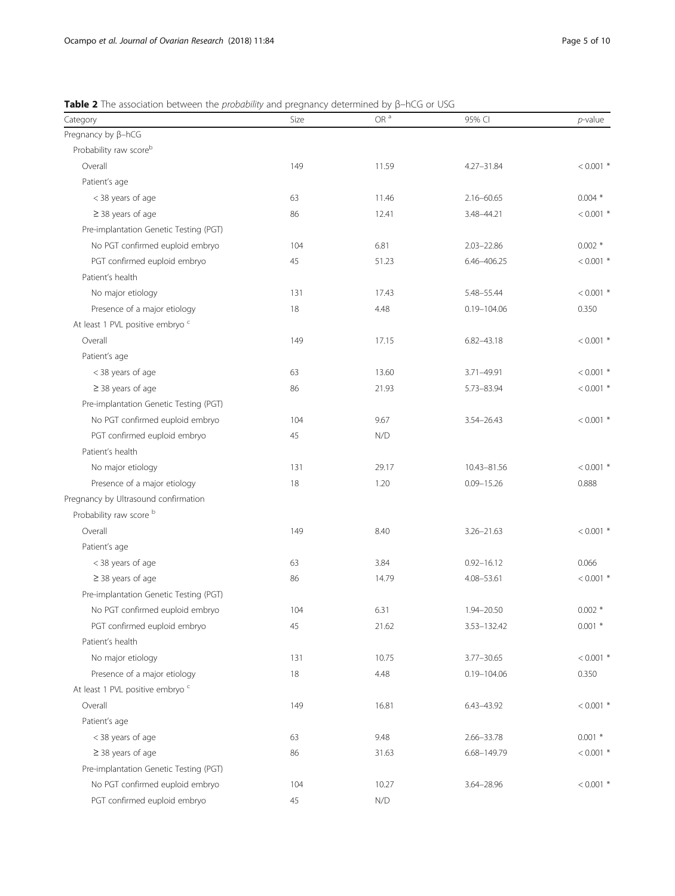<span id="page-4-0"></span>

| Table 2 The association between the <i>probability</i> and pregnancy determined by $\beta$ -hCG or USG |  |  |  |
|--------------------------------------------------------------------------------------------------------|--|--|--|
|                                                                                                        |  |  |  |

| Category                                    | Size | OR $a$ | 95% CI          | $p$ -value  |
|---------------------------------------------|------|--------|-----------------|-------------|
| Pregnancy by $\beta$ -hCG                   |      |        |                 |             |
| Probability raw scoreb                      |      |        |                 |             |
| Overall                                     | 149  | 11.59  | 4.27-31.84      | $< 0.001$ * |
| Patient's age                               |      |        |                 |             |
| < 38 years of age                           | 63   | 11.46  | $2.16 - 60.65$  | $0.004*$    |
| $\geq$ 38 years of age                      | 86   | 12.41  | 3.48-44.21      | $< 0.001$ * |
| Pre-implantation Genetic Testing (PGT)      |      |        |                 |             |
| No PGT confirmed euploid embryo             | 104  | 6.81   | $2.03 - 22.86$  | $0.002*$    |
| PGT confirmed euploid embryo                | 45   | 51.23  | 6.46-406.25     | $< 0.001$ * |
| Patient's health                            |      |        |                 |             |
| No major etiology                           | 131  | 17.43  | 5.48-55.44      | $< 0.001$ * |
| Presence of a major etiology                | 18   | 4.48   | 0.19-104.06     | 0.350       |
| At least 1 PVL positive embryo <sup>c</sup> |      |        |                 |             |
| Overall                                     | 149  | 17.15  | $6.82 - 43.18$  | $< 0.001$ * |
| Patient's age                               |      |        |                 |             |
| < 38 years of age                           | 63   | 13.60  | 3.71-49.91      | $< 0.001$ * |
| $\geq$ 38 years of age                      | 86   | 21.93  | 5.73-83.94      | $< 0.001$ * |
| Pre-implantation Genetic Testing (PGT)      |      |        |                 |             |
| No PGT confirmed euploid embryo             | 104  | 9.67   | $3.54 - 26.43$  | $< 0.001$ * |
| PGT confirmed euploid embryo                | 45   | N/D    |                 |             |
| Patient's health                            |      |        |                 |             |
| No major etiology                           | 131  | 29.17  | 10.43-81.56     | $< 0.001$ * |
| Presence of a major etiology                | 18   | 1.20   | $0.09 - 15.26$  | 0.888       |
| Pregnancy by Ultrasound confirmation        |      |        |                 |             |
| Probability raw score b                     |      |        |                 |             |
| Overall                                     | 149  | 8.40   | $3.26 - 21.63$  | $< 0.001$ * |
| Patient's age                               |      |        |                 |             |
| < 38 years of age                           | 63   | 3.84   | $0.92 - 16.12$  | 0.066       |
| $\geq$ 38 years of age                      | 86   | 14.79  | 4.08-53.61      | $< 0.001$ * |
| Pre-implantation Genetic Testing (PGT)      |      |        |                 |             |
| No PGT confirmed euploid embryo             | 104  | 6.31   | 1.94-20.50      | $0.002*$    |
| PGT confirmed euploid embryo                | 45   | 21.62  | 3.53-132.42     | $0.001$ *   |
| Patient's health                            |      |        |                 |             |
| No major etiology                           | 131  | 10.75  | 3.77-30.65      | $< 0.001$ * |
| Presence of a major etiology                | 18   | 4.48   | $0.19 - 104.06$ | 0.350       |
| At least 1 PVL positive embryo c            |      |        |                 |             |
| Overall                                     | 149  | 16.81  | 6.43-43.92      | $< 0.001$ * |
| Patient's age                               |      |        |                 |             |
| < 38 years of age                           | 63   | 9.48   | 2.66-33.78      | $0.001$ *   |
| $\geq$ 38 years of age                      | 86   | 31.63  | 6.68-149.79     | $< 0.001$ * |
| Pre-implantation Genetic Testing (PGT)      |      |        |                 |             |
| No PGT confirmed euploid embryo             | 104  | 10.27  | $3.64 - 28.96$  | $< 0.001$ * |
| PGT confirmed euploid embryo                | 45   | N/D    |                 |             |
|                                             |      |        |                 |             |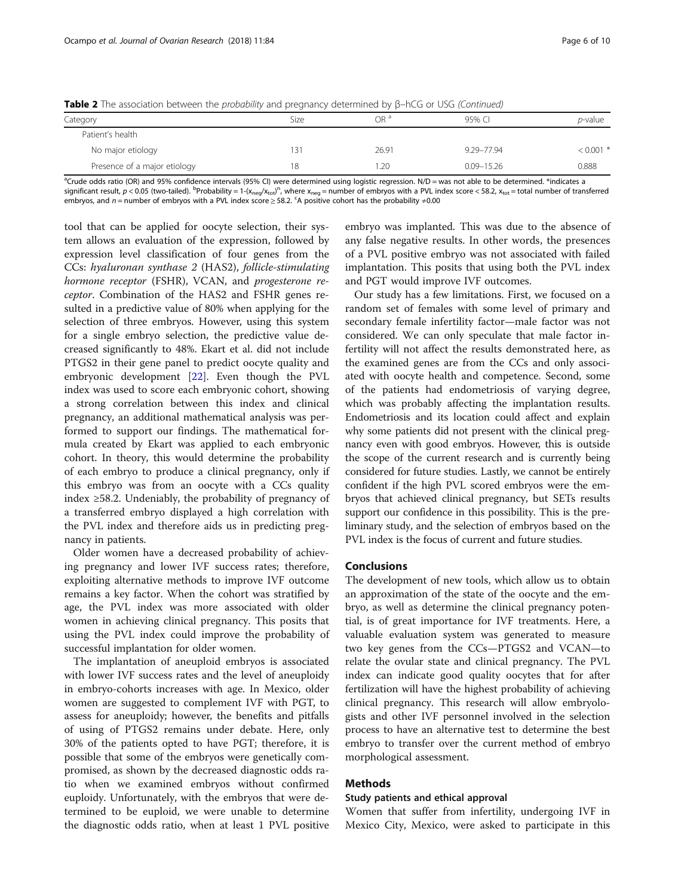| <b>Table 2</b> The association between the <i>probability</i> and pregnancy determined by $\beta$ –hCG or USG (Continued) |  |  |  |  |  |  |
|---------------------------------------------------------------------------------------------------------------------------|--|--|--|--|--|--|
|---------------------------------------------------------------------------------------------------------------------------|--|--|--|--|--|--|

| Category                     | Size | OR <sup>a</sup> | 95% CI         | <i>p</i> -value |
|------------------------------|------|-----------------|----------------|-----------------|
| Patient's health             |      |                 |                |                 |
| No major etiology            | 31   | 26.91           | 9.29-77.94     | $< 0.001$ *     |
| Presence of a major etiology | 18   | .20             | $0.09 - 15.26$ | 0.888           |

<sup>a</sup>Crude odds ratio (OR) and 95% confidence intervals (95% CI) were determined using logistic regression. N/D = was not able to be determined. \*indicates a significant result,  $p < 0.05$  (two-tailed). <sup>b</sup>Probability = 1-(x<sub>neg</sub>/x<sub>tot</sub>)", where x<sub>neg</sub> = number of embryos with a PVL index score < 58.2, x<sub>tot</sub> = total number of transferred

embryos, and n = number of embryos with a PVL index score ≥ 58.2. <sup>c</sup>A positive cohort has the probability ≠0.00

tool that can be applied for oocyte selection, their system allows an evaluation of the expression, followed by expression level classification of four genes from the CCs: hyaluronan synthase 2 (HAS2), follicle-stimulating hormone receptor (FSHR), VCAN, and progesterone receptor. Combination of the HAS2 and FSHR genes resulted in a predictive value of 80% when applying for the selection of three embryos. However, using this system for a single embryo selection, the predictive value decreased significantly to 48%. Ekart et al. did not include PTGS2 in their gene panel to predict oocyte quality and embryonic development [\[22](#page-9-0)]. Even though the PVL index was used to score each embryonic cohort, showing a strong correlation between this index and clinical pregnancy, an additional mathematical analysis was performed to support our findings. The mathematical formula created by Ekart was applied to each embryonic cohort. In theory, this would determine the probability of each embryo to produce a clinical pregnancy, only if this embryo was from an oocyte with a CCs quality index  $\geq$ 58.2. Undeniably, the probability of pregnancy of a transferred embryo displayed a high correlation with the PVL index and therefore aids us in predicting pregnancy in patients.

Older women have a decreased probability of achieving pregnancy and lower IVF success rates; therefore, exploiting alternative methods to improve IVF outcome remains a key factor. When the cohort was stratified by age, the PVL index was more associated with older women in achieving clinical pregnancy. This posits that using the PVL index could improve the probability of successful implantation for older women.

The implantation of aneuploid embryos is associated with lower IVF success rates and the level of aneuploidy in embryo-cohorts increases with age. In Mexico, older women are suggested to complement IVF with PGT, to assess for aneuploidy; however, the benefits and pitfalls of using of PTGS2 remains under debate. Here, only 30% of the patients opted to have PGT; therefore, it is possible that some of the embryos were genetically compromised, as shown by the decreased diagnostic odds ratio when we examined embryos without confirmed euploidy. Unfortunately, with the embryos that were determined to be euploid, we were unable to determine the diagnostic odds ratio, when at least 1 PVL positive embryo was implanted. This was due to the absence of any false negative results. In other words, the presences of a PVL positive embryo was not associated with failed implantation. This posits that using both the PVL index and PGT would improve IVF outcomes.

Our study has a few limitations. First, we focused on a random set of females with some level of primary and secondary female infertility factor—male factor was not considered. We can only speculate that male factor infertility will not affect the results demonstrated here, as the examined genes are from the CCs and only associated with oocyte health and competence. Second, some of the patients had endometriosis of varying degree, which was probably affecting the implantation results. Endometriosis and its location could affect and explain why some patients did not present with the clinical pregnancy even with good embryos. However, this is outside the scope of the current research and is currently being considered for future studies. Lastly, we cannot be entirely confident if the high PVL scored embryos were the embryos that achieved clinical pregnancy, but SETs results support our confidence in this possibility. This is the preliminary study, and the selection of embryos based on the PVL index is the focus of current and future studies.

# Conclusions

The development of new tools, which allow us to obtain an approximation of the state of the oocyte and the embryo, as well as determine the clinical pregnancy potential, is of great importance for IVF treatments. Here, a valuable evaluation system was generated to measure two key genes from the CCs—PTGS2 and VCAN—to relate the ovular state and clinical pregnancy. The PVL index can indicate good quality oocytes that for after fertilization will have the highest probability of achieving clinical pregnancy. This research will allow embryologists and other IVF personnel involved in the selection process to have an alternative test to determine the best embryo to transfer over the current method of embryo morphological assessment.

# Methods

# Study patients and ethical approval

Women that suffer from infertility, undergoing IVF in Mexico City, Mexico, were asked to participate in this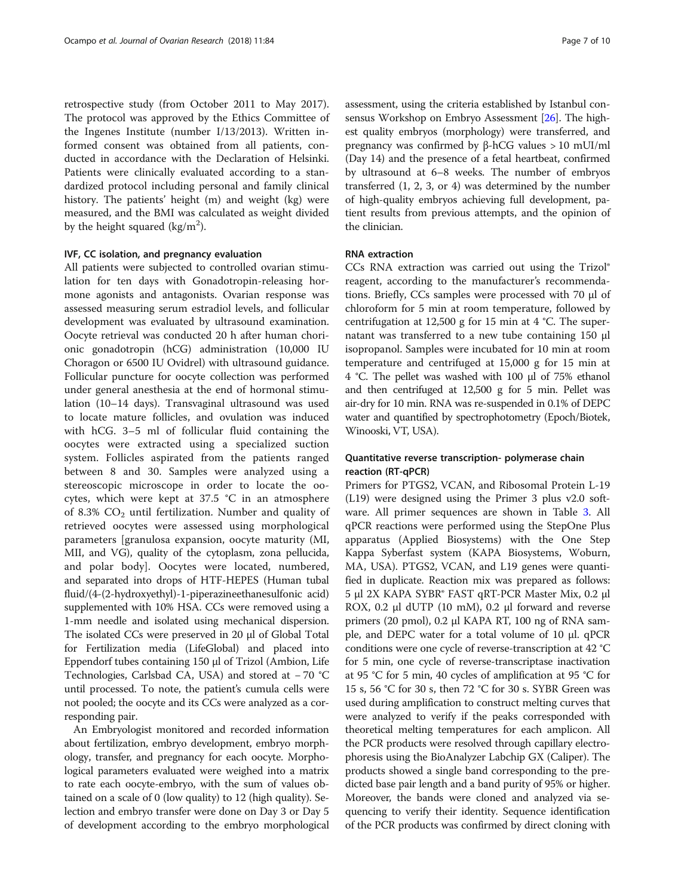retrospective study (from October 2011 to May 2017). The protocol was approved by the Ethics Committee of the Ingenes Institute (number I/13/2013). Written informed consent was obtained from all patients, conducted in accordance with the Declaration of Helsinki. Patients were clinically evaluated according to a standardized protocol including personal and family clinical history. The patients' height (m) and weight (kg) were measured, and the BMI was calculated as weight divided by the height squared (kg/m<sup>2</sup>).

#### IVF, CC isolation, and pregnancy evaluation

All patients were subjected to controlled ovarian stimulation for ten days with Gonadotropin-releasing hormone agonists and antagonists. Ovarian response was assessed measuring serum estradiol levels, and follicular development was evaluated by ultrasound examination. Oocyte retrieval was conducted 20 h after human chorionic gonadotropin (hCG) administration (10,000 IU Choragon or 6500 IU Ovidrel) with ultrasound guidance. Follicular puncture for oocyte collection was performed under general anesthesia at the end of hormonal stimulation (10–14 days). Transvaginal ultrasound was used to locate mature follicles, and ovulation was induced with hCG. 3–5 ml of follicular fluid containing the oocytes were extracted using a specialized suction system. Follicles aspirated from the patients ranged between 8 and 30. Samples were analyzed using a stereoscopic microscope in order to locate the oocytes, which were kept at 37.5 °C in an atmosphere of 8.3%  $CO<sub>2</sub>$  until fertilization. Number and quality of retrieved oocytes were assessed using morphological parameters [granulosa expansion, oocyte maturity (MI, MII, and VG), quality of the cytoplasm, zona pellucida, and polar body]. Oocytes were located, numbered, and separated into drops of HTF-HEPES (Human tubal fluid/(4-(2-hydroxyethyl)-1-piperazineethanesulfonic acid) supplemented with 10% HSA. CCs were removed using a 1-mm needle and isolated using mechanical dispersion. The isolated CCs were preserved in 20 μl of Global Total for Fertilization media (LifeGlobal) and placed into Eppendorf tubes containing 150 μl of Trizol (Ambion, Life Technologies, Carlsbad CA, USA) and stored at − 70 °C until processed. To note, the patient's cumula cells were not pooled; the oocyte and its CCs were analyzed as a corresponding pair.

An Embryologist monitored and recorded information about fertilization, embryo development, embryo morphology, transfer, and pregnancy for each oocyte. Morphological parameters evaluated were weighed into a matrix to rate each oocyte-embryo, with the sum of values obtained on a scale of 0 (low quality) to 12 (high quality). Selection and embryo transfer were done on Day 3 or Day 5 of development according to the embryo morphological assessment, using the criteria established by Istanbul consensus Workshop on Embryo Assessment [[26](#page-9-0)]. The highest quality embryos (morphology) were transferred, and pregnancy was confirmed by β-hCG values > 10 mUI/ml (Day 14) and the presence of a fetal heartbeat, confirmed by ultrasound at 6–8 weeks. The number of embryos transferred (1, 2, 3, or 4) was determined by the number of high-quality embryos achieving full development, patient results from previous attempts, and the opinion of the clinician.

# RNA extraction

CCs RNA extraction was carried out using the Trizol® reagent, according to the manufacturer's recommendations. Briefly, CCs samples were processed with 70 μl of chloroform for 5 min at room temperature, followed by centrifugation at 12,500 g for 15 min at 4 °C. The supernatant was transferred to a new tube containing 150 μl isopropanol. Samples were incubated for 10 min at room temperature and centrifuged at 15,000 g for 15 min at 4 °C. The pellet was washed with 100 μl of 75% ethanol and then centrifuged at 12,500 g for 5 min. Pellet was air-dry for 10 min. RNA was re-suspended in 0.1% of DEPC water and quantified by spectrophotometry (Epoch/Biotek, Winooski, VT, USA).

# Quantitative reverse transcription- polymerase chain reaction (RT-qPCR)

Primers for PTGS2, VCAN, and Ribosomal Protein L-19 (L19) were designed using the Primer 3 plus v2.0 software. All primer sequences are shown in Table [3.](#page-7-0) All qPCR reactions were performed using the StepOne Plus apparatus (Applied Biosystems) with the One Step Kappa Syberfast system (KAPA Biosystems, Woburn, MA, USA). PTGS2, VCAN, and L19 genes were quantified in duplicate. Reaction mix was prepared as follows: 5 μl 2X KAPA SYBR® FAST qRT-PCR Master Mix, 0.2 μl ROX, 0.2 μl dUTP (10 mM), 0.2 μl forward and reverse primers (20 pmol), 0.2 μl KAPA RT, 100 ng of RNA sample, and DEPC water for a total volume of 10 μl. qPCR conditions were one cycle of reverse-transcription at 42 °C for 5 min, one cycle of reverse-transcriptase inactivation at 95 °C for 5 min, 40 cycles of amplification at 95 °C for 15 s, 56 °C for 30 s, then 72 °C for 30 s. SYBR Green was used during amplification to construct melting curves that were analyzed to verify if the peaks corresponded with theoretical melting temperatures for each amplicon. All the PCR products were resolved through capillary electrophoresis using the BioAnalyzer Labchip GX (Caliper). The products showed a single band corresponding to the predicted base pair length and a band purity of 95% or higher. Moreover, the bands were cloned and analyzed via sequencing to verify their identity. Sequence identification of the PCR products was confirmed by direct cloning with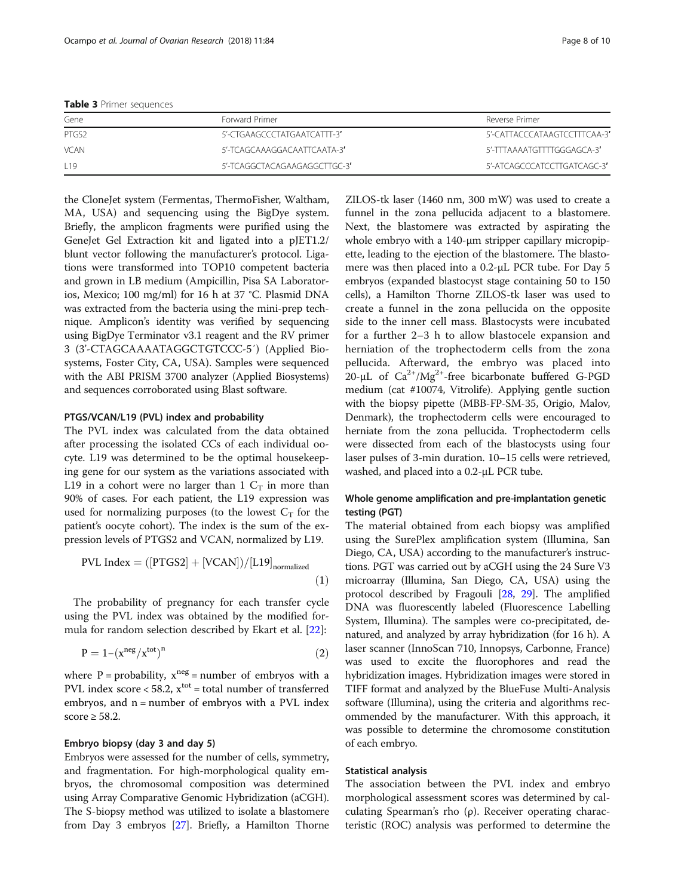<span id="page-7-0"></span>Table 3 Primer sequences

| Forward Primer               | Reverse Primer               |
|------------------------------|------------------------------|
| 5'-CTGAAGCCCTATGAATCATTT-3'  | 5'-CATTACCCATAAGTCCTTTCAA-3' |
| 5'-TCAGCAAAGGACAATTCAATA-3'  | 5'-TTTAAAATGTTTTGGGAGCA-3'   |
| 5'-TCAGGCTACAGAAGAGGCTTGC-3' | 5'-ATCAGCCCATCCTTGATCAGC-3'  |
|                              |                              |

the CloneJet system (Fermentas, ThermoFisher, Waltham, MA, USA) and sequencing using the BigDye system. Briefly, the amplicon fragments were purified using the GeneJet Gel Extraction kit and ligated into a pJET1.2/ blunt vector following the manufacturer's protocol. Ligations were transformed into TOP10 competent bacteria and grown in LB medium (Ampicillin, Pisa SA Laboratorios, Mexico; 100 mg/ml) for 16 h at 37 °C. Plasmid DNA was extracted from the bacteria using the mini-prep technique. Amplicon's identity was verified by sequencing using BigDye Terminator v3.1 reagent and the RV primer 3 (3'-CTAGCAAAATAGGCTGTCCC-5′) (Applied Biosystems, Foster City, CA, USA). Samples were sequenced with the ABI PRISM 3700 analyzer (Applied Biosystems) and sequences corroborated using Blast software.

#### PTGS/VCAN/L19 (PVL) index and probability

The PVL index was calculated from the data obtained after processing the isolated CCs of each individual oocyte. L19 was determined to be the optimal housekeeping gene for our system as the variations associated with L19 in a cohort were no larger than 1  $C_T$  in more than 90% of cases. For each patient, the L19 expression was used for normalizing purposes (to the lowest  $C_T$  for the patient's oocyte cohort). The index is the sum of the expression levels of PTGS2 and VCAN, normalized by L19.

$$
PVL Index = ([PTGS2] + [VCAN])/[L19]_{normalized}
$$
\n(1)

The probability of pregnancy for each transfer cycle using the PVL index was obtained by the modified formula for random selection described by Ekart et al. [[22\]](#page-9-0):

$$
P = 1 - \left(x^{neg}/x^{tot}\right)^n\tag{2}
$$

where  $P = probability$ ,  $x^{neg} = number$  of embryos with a PVL index score  $<$  58.2,  $x<sup>tot</sup>$  = total number of transferred embryos, and n = number of embryos with a PVL index score  $\geq$  58.2.

#### Embryo biopsy (day 3 and day 5)

Embryos were assessed for the number of cells, symmetry, and fragmentation. For high-morphological quality embryos, the chromosomal composition was determined using Array Comparative Genomic Hybridization (aCGH). The S-biopsy method was utilized to isolate a blastomere from Day 3 embryos [[27](#page-9-0)]. Briefly, a Hamilton Thorne

ZILOS-tk laser (1460 nm, 300 mW) was used to create a funnel in the zona pellucida adjacent to a blastomere. Next, the blastomere was extracted by aspirating the whole embryo with a 140-μm stripper capillary micropipette, leading to the ejection of the blastomere. The blastomere was then placed into a 0.2-μL PCR tube. For Day 5 embryos (expanded blastocyst stage containing 50 to 150 cells), a Hamilton Thorne ZILOS-tk laser was used to create a funnel in the zona pellucida on the opposite side to the inner cell mass. Blastocysts were incubated for a further 2–3 h to allow blastocele expansion and herniation of the trophectoderm cells from the zona pellucida. Afterward, the embryo was placed into 20-μL of  $Ca^{2+}/Mg^{2+}$ -free bicarbonate buffered G-PGD medium (cat #10074, Vitrolife). Applying gentle suction with the biopsy pipette (MBB-FP-SM-35, Origio, Malov, Denmark), the trophectoderm cells were encouraged to herniate from the zona pellucida. Trophectoderm cells were dissected from each of the blastocysts using four laser pulses of 3-min duration. 10–15 cells were retrieved, washed, and placed into a 0.2-μL PCR tube.

# Whole genome amplification and pre-implantation genetic testing (PGT)

The material obtained from each biopsy was amplified using the SurePlex amplification system (Illumina, San Diego, CA, USA) according to the manufacturer's instructions. PGT was carried out by aCGH using the 24 Sure V3 microarray (Illumina, San Diego, CA, USA) using the protocol described by Fragouli [[28,](#page-9-0) [29\]](#page-9-0). The amplified DNA was fluorescently labeled (Fluorescence Labelling System, Illumina). The samples were co-precipitated, denatured, and analyzed by array hybridization (for 16 h). A laser scanner (InnoScan 710, Innopsys, Carbonne, France) was used to excite the fluorophores and read the hybridization images. Hybridization images were stored in TIFF format and analyzed by the BlueFuse Multi-Analysis software (Illumina), using the criteria and algorithms recommended by the manufacturer. With this approach, it was possible to determine the chromosome constitution of each embryo.

### Statistical analysis

The association between the PVL index and embryo morphological assessment scores was determined by calculating Spearman's rho (ρ). Receiver operating characteristic (ROC) analysis was performed to determine the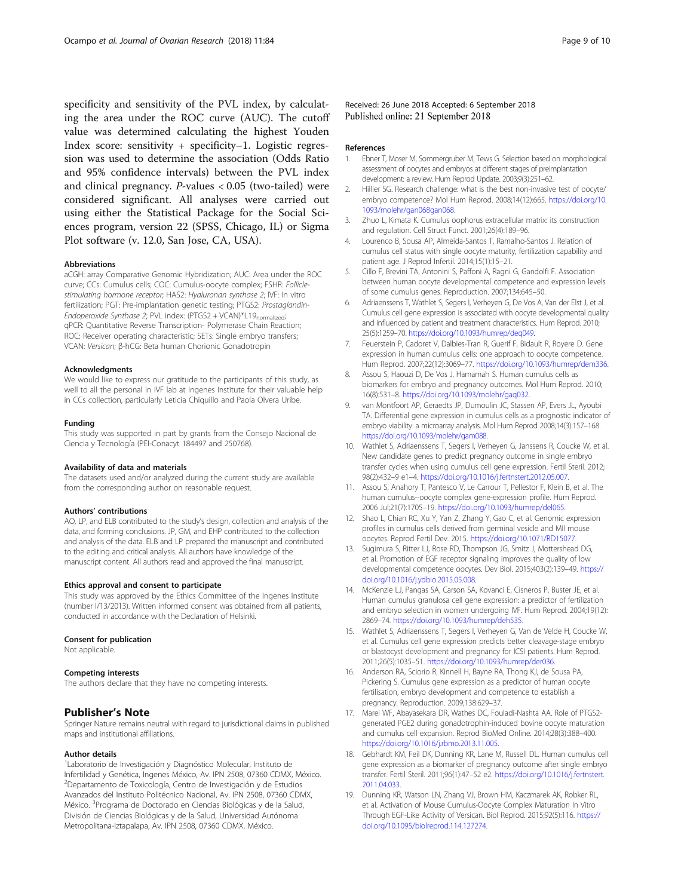<span id="page-8-0"></span>specificity and sensitivity of the PVL index, by calculating the area under the ROC curve (AUC). The cutoff value was determined calculating the highest Youden Index score: sensitivity + specificity–1. Logistic regression was used to determine the association (Odds Ratio and 95% confidence intervals) between the PVL index and clinical pregnancy. P-values < 0.05 (two-tailed) were considered significant. All analyses were carried out using either the Statistical Package for the Social Sciences program, version 22 (SPSS, Chicago, IL) or Sigma Plot software (v. 12.0, San Jose, CA, USA).

#### Abbreviations

aCGH: array Comparative Genomic Hybridization; AUC: Area under the ROC curve; CCs: Cumulus cells; COC: Cumulus-oocyte complex; FSHR: Folliclestimulating hormone receptor; HAS2: Hyaluronan synthase 2; IVF: In vitro fertilization; PGT: Pre-implantation genetic testing; PTGS2: Prostaglandin-Endoperoxide Synthase 2; PVL index: (PTGS2 + VCAN)\*L19<sub>normalized</sub>; qPCR: Quantitative Reverse Transcription- Polymerase Chain Reaction; ROC: Receiver operating characteristic; SETs: Single embryo transfers; VCAN: Versican; β-hCG: Beta human Chorionic Gonadotropin

#### Acknowledgments

We would like to express our gratitude to the participants of this study, as well to all the personal in IVF lab at Ingenes Institute for their valuable help in CCs collection, particularly Leticia Chiquillo and Paola Olvera Uribe.

#### Funding

This study was supported in part by grants from the Consejo Nacional de Ciencia y Tecnología (PEI-Conacyt 184497 and 250768).

### Availability of data and materials

The datasets used and/or analyzed during the current study are available from the corresponding author on reasonable request.

#### Authors' contributions

AO, LP, and ELB contributed to the study's design, collection and analysis of the data, and forming conclusions. JP, GM, and EHP contributed to the collection and analysis of the data. ELB and LP prepared the manuscript and contributed to the editing and critical analysis. All authors have knowledge of the manuscript content. All authors read and approved the final manuscript.

#### Ethics approval and consent to participate

This study was approved by the Ethics Committee of the Ingenes Institute (number I/13/2013). Written informed consent was obtained from all patients, conducted in accordance with the Declaration of Helsinki.

#### Consent for publication

Not applicable.

#### Competing interests

The authors declare that they have no competing interests.

#### Publisher's Note

Springer Nature remains neutral with regard to jurisdictional claims in published maps and institutional affiliations.

#### Author details

<sup>1</sup> Laboratorio de Investigación y Diagnóstico Molecular, Instituto de Infertilidad y Genética, Ingenes México, Av. IPN 2508, 07360 CDMX, México. 2 Departamento de Toxicología, Centro de Investigación y de Estudios Avanzados del Instituto Politécnico Nacional, Av. IPN 2508, 07360 CDMX, México. <sup>3</sup>Programa de Doctorado en Ciencias Biológicas y de la Salud, División de Ciencias Biológicas y de la Salud, Universidad Autónoma Metropolitana-Iztapalapa, Av. IPN 2508, 07360 CDMX, México.

Received: 26 June 2018 Accepted: 6 September 2018 Published online: 21 September 2018

#### References

- 1. Ebner T, Moser M, Sommergruber M, Tews G. Selection based on morphological assessment of oocytes and embryos at different stages of preimplantation development: a review. Hum Reprod Update. 2003;9(3):251–62.
- 2. Hillier SG, Research challenge: what is the best non-invasive test of oocyte/ embryo competence? Mol Hum Reprod. 2008;14(12):665. [https://doi.org/10.](https://doi.org/10.1093/molehr/gan068gan068) [1093/molehr/gan068gan068.](https://doi.org/10.1093/molehr/gan068gan068)
- 3. Zhuo L, Kimata K. Cumulus oophorus extracellular matrix: its construction and regulation. Cell Struct Funct. 2001;26(4):189–96.
- 4. Lourenco B, Sousa AP, Almeida-Santos T, Ramalho-Santos J. Relation of cumulus cell status with single oocyte maturity, fertilization capability and patient age. J Reprod Infertil. 2014;15(1):15–21.
- 5. Cillo F, Brevini TA, Antonini S, Paffoni A, Ragni G, Gandolfi F. Association between human oocyte developmental competence and expression levels of some cumulus genes. Reproduction. 2007;134:645–50.
- 6. Adriaenssens T, Wathlet S, Segers I, Verheyen G, De Vos A, Van der Elst J, et al. Cumulus cell gene expression is associated with oocyte developmental quality and influenced by patient and treatment characteristics. Hum Reprod. 2010; 25(5):1259–70. <https://doi.org/10.1093/humrep/deq049>.
- 7. Feuerstein P, Cadoret V, Dalbies-Tran R, Guerif F, Bidault R, Royere D. Gene expression in human cumulus cells: one approach to oocyte competence. Hum Reprod. 2007;22(12):3069–77. <https://doi.org/10.1093/humrep/dem336>.
- 8. Assou S, Haouzi D, De Vos J, Hamamah S. Human cumulus cells as biomarkers for embryo and pregnancy outcomes. Mol Hum Reprod. 2010; 16(8):531–8. [https://doi.org/10.1093/molehr/gaq032.](https://doi.org/10.1093/molehr/gaq032)
- 9. van Montfoort AP, Geraedts JP, Dumoulin JC, Stassen AP, Evers JL, Ayoubi TA. Differential gene expression in cumulus cells as a prognostic indicator of embryo viability: a microarray analysis. Mol Hum Reprod 2008;14(3):157–168. <https://doi.org/10.1093/molehr/gam088>.
- 10. Wathlet S, Adriaenssens T, Segers I, Verheyen G, Janssens R, Coucke W, et al. New candidate genes to predict pregnancy outcome in single embryo transfer cycles when using cumulus cell gene expression. Fertil Steril. 2012; 98(2):432–9 e1–4. <https://doi.org/10.1016/j.fertnstert.2012.05.007>.
- 11. Assou S, Anahory T, Pantesco V, Le Carrour T, Pellestor F, Klein B, et al. The human cumulus--oocyte complex gene-expression profile. Hum Reprod. 2006 Jul;21(7):1705–19. <https://doi.org/10.1093/humrep/del065>.
- 12. Shao L, Chian RC, Xu Y, Yan Z, Zhang Y, Gao C, et al. Genomic expression profiles in cumulus cells derived from germinal vesicle and MII mouse oocytes. Reprod Fertil Dev. 2015. [https://doi.org/10.1071/RD15077.](https://doi.org/10.1071/RD15077)
- 13. Sugimura S, Ritter LJ, Rose RD, Thompson JG, Smitz J, Mottershead DG, et al. Promotion of EGF receptor signaling improves the quality of low developmental competence oocytes. Dev Biol. 2015;403(2):139–49. [https://](https://doi.org/10.1016/j.ydbio.2015.05.008) [doi.org/10.1016/j.ydbio.2015.05.008](https://doi.org/10.1016/j.ydbio.2015.05.008).
- 14. McKenzie LJ, Pangas SA, Carson SA, Kovanci E, Cisneros P, Buster JE, et al. Human cumulus granulosa cell gene expression: a predictor of fertilization and embryo selection in women undergoing IVF. Hum Reprod. 2004;19(12): 2869–74. [https://doi.org/10.1093/humrep/deh535.](https://doi.org/10.1093/humrep/deh535)
- 15. Wathlet S, Adriaenssens T, Segers I, Verheyen G, Van de Velde H, Coucke W, et al. Cumulus cell gene expression predicts better cleavage-stage embryo or blastocyst development and pregnancy for ICSI patients. Hum Reprod. 2011;26(5):1035–51. [https://doi.org/10.1093/humrep/der036.](https://doi.org/10.1093/humrep/der036)
- 16. Anderson RA, Sciorio R, Kinnell H, Bayne RA, Thong KJ, de Sousa PA, Pickering S. Cumulus gene expression as a predictor of human oocyte fertilisation, embryo development and competence to establish a pregnancy. Reproduction. 2009;138:629–37.
- 17. Marei WF, Abayasekara DR, Wathes DC, Fouladi-Nashta AA. Role of PTGS2 generated PGE2 during gonadotrophin-induced bovine oocyte maturation and cumulus cell expansion. Reprod BioMed Online. 2014;28(3):388–400. <https://doi.org/10.1016/j.rbmo.2013.11.005>.
- 18. Gebhardt KM, Feil DK, Dunning KR, Lane M, Russell DL. Human cumulus cell gene expression as a biomarker of pregnancy outcome after single embryo transfer. Fertil Steril. 2011;96(1):47–52 e2. [https://doi.org/10.1016/j.fertnstert.](https://doi.org/10.1016/j.fertnstert.2011.04.033) [2011.04.033.](https://doi.org/10.1016/j.fertnstert.2011.04.033)
- 19. Dunning KR, Watson LN, Zhang VJ, Brown HM, Kaczmarek AK, Robker RL, et al. Activation of Mouse Cumulus-Oocyte Complex Maturation In Vitro Through EGF-Like Activity of Versican. Biol Reprod. 2015;92(5):116. [https://](https://doi.org/10.1095/biolreprod.114.127274) [doi.org/10.1095/biolreprod.114.127274](https://doi.org/10.1095/biolreprod.114.127274).